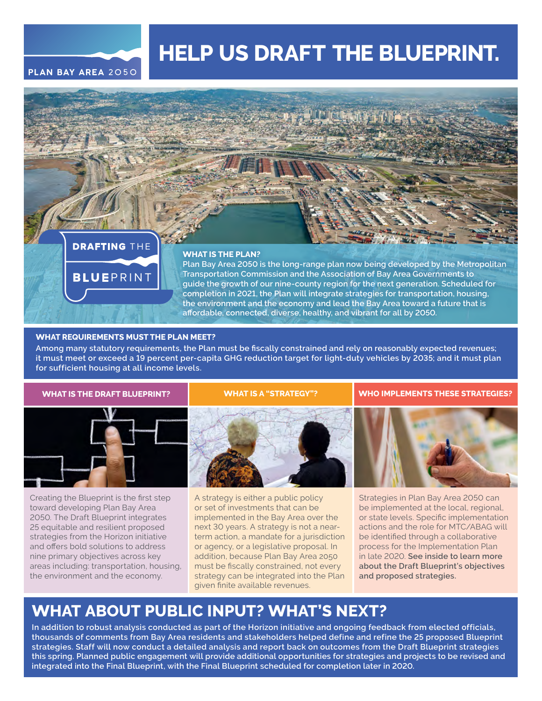

# **HELP US DRAFT THE BLUEPRINT.**



#### **WHAT IS THE PLAN?**

**Plan Bay Area 2050 is the long-range plan now being developed by the Metropolitan Transportation Commission and the Association of Bay Area Governments to guide the growth of our nine-county region for the next generation. Scheduled for completion in 2021, the Plan will integrate strategies for transportation, housing, the environment and the economy and lead the Bay Area toward a future that is affordable, connected, diverse, healthy, and vibrant for all by 2050.**

#### **WHAT REQUIREMENTS MUST THE PLAN MEET?**

**Among many statutory requirements, the Plan must be fiscally constrained and rely on reasonably expected revenues; it must meet or exceed a 19 percent per-capita GHG reduction target for light-duty vehicles by 2035; and it must plan for sufficient housing at all income levels.**



Creating the Blueprint is the first step toward developing Plan Bay Area 2050. The Draft Blueprint integrates 25 equitable and resilient proposed strategies from the Horizon initiative and offers bold solutions to address nine primary objectives across key areas including: transportation, housing, the environment and the economy.

#### **WHAT IS THE DRAFT BLUEPRINT? WHAT IS A "STRATEGY"? WHO IMPLEMENTS THESE STRATEGIES?**



A strategy is either a public policy or set of investments that can be implemented in the Bay Area over the next 30 years. A strategy is not a nearterm action, a mandate for a jurisdiction or agency, or a legislative proposal. In addition, because Plan Bay Area 2050 must be fiscally constrained, not every strategy can be integrated into the Plan given finite available revenues.



Strategies in Plan Bay Area 2050 can be implemented at the local, regional, or state levels. Specific implementation actions and the role for MTC/ABAG will be identified through a collaborative process for the Implementation Plan in late 2020. **See inside to learn more about the Draft Blueprint's objectives and proposed strategies.** 

### **WHAT ABOUT PUBLIC INPUT? WHAT'S NEXT?**

**In addition to robust analysis conducted as part of the Horizon initiative and ongoing feedback from elected officials, thousands of comments from Bay Area residents and stakeholders helped define and refine the 25 proposed Blueprint strategies. Staff will now conduct a detailed analysis and report back on outcomes from the Draft Blueprint strategies this spring. Planned public engagement will provide additional opportunities for strategies and projects to be revised and integrated into the Final Blueprint, with the Final Blueprint scheduled for completion later in 2020.**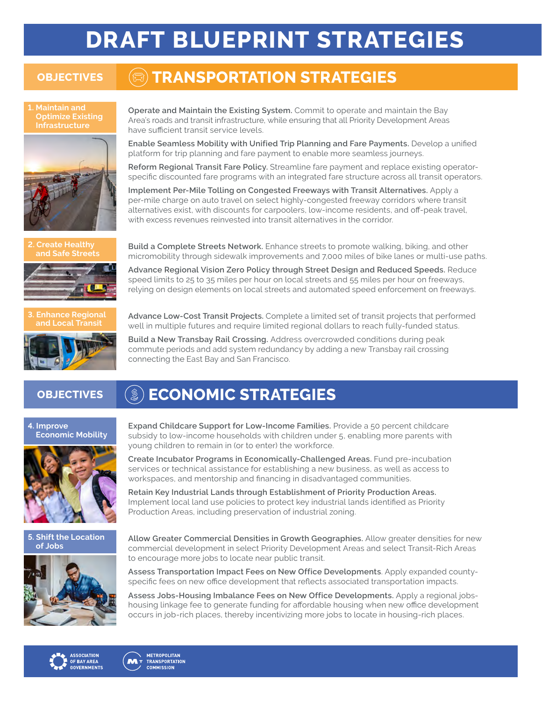# **DRAFT BLUEPRINT STRATEGIES**

## **OBJECTIVES** (a) **TRANSPORTATION STRATEGIES**

**1. Maintain and Optimize Existing Infrastructure**





**Operate and Maintain the Existing System.** Commit to operate and maintain the Bay Area's roads and transit infrastructure, while ensuring that all Priority Development Areas have sufficient transit service levels.

**Enable Seamless Mobility with Unified Trip Planning and Fare Payments.** Develop a unified platform for trip planning and fare payment to enable more seamless journeys.

**Reform Regional Transit Fare Policy.** Streamline fare payment and replace existing operatorspecific discounted fare programs with an integrated fare structure across all transit operators.

**Implement Per-Mile Tolling on Congested Freeways with Transit Alternatives.** Apply a per-mile charge on auto travel on select highly-congested freeway corridors where transit alternatives exist, with discounts for carpoolers, low-income residents, and off-peak travel, with excess revenues reinvested into transit alternatives in the corridor.

**Create Healthy Build a Complete Streets Network.** Enhance streets to promote walking, biking, and other and Safe Streets of programshill the programshill the programshill the programshill the programshill the programshill micromobility through sidewalk improvements and 7,000 miles of bike lanes or multi-use paths.

> **Advance Regional Vision Zero Policy through Street Design and Reduced Speeds.** Reduce speed limits to 25 to 35 miles per hour on local streets and 55 miles per hour on freeways, relying on design elements on local streets and automated speed enforcement on freeways.



**and Local Transit Advance Low-Cost Transit Projects.** Complete a limited set of transit projects that performed well in multiple futures and require limited regional dollars to reach fully-funded status.

**Build a New Transbay Rail Crossing.** Address overcrowded conditions during peak commute periods and add system redundancy by adding a new Transbay rail crossing connecting the East Bay and San Francisco.

# **OBJECTIVES (**  $\mathcal{L}$  **) ECONOMIC STRATEGIES**

#### **4. Improve Economic Mobility**



**Expand Childcare Support for Low-Income Families.** Provide a 50 percent childcare subsidy to low-income households with children under 5, enabling more parents with young children to remain in (or to enter) the workforce.

**Create Incubator Programs in Economically-Challenged Areas.** Fund pre-incubation services or technical assistance for establishing a new business, as well as access to workspaces, and mentorship and financing in disadvantaged communities.

**Retain Key Industrial Lands through Establishment of Priority Production Areas.**  Implement local land use policies to protect key industrial lands identified as Priority Production Areas, including preservation of industrial zoning.

**5. Shift the Location** 



**Shift the Location Allow Greater Commercial Densities in Growth Geographies.** Allow greater densities for new<br>**of Jobs** *COMMERCIA GOVELOPMENT in Select Priority Development Areas and select Transit-Pich Areas* commercial development in select Priority Development Areas and select Transit-Rich Areas to encourage more jobs to locate near public transit.

> **Assess Transportation Impact Fees on New Office Developments**. Apply expanded countyspecific fees on new office development that reflects associated transportation impacts.

> **Assess Jobs-Housing Imbalance Fees on New Office Developments.** Apply a regional jobshousing linkage fee to generate funding for affordable housing when new office development occurs in job-rich places, thereby incentivizing more jobs to locate in housing-rich places.



**METROPOLITAN M TRANSPORTATION COMMISSION**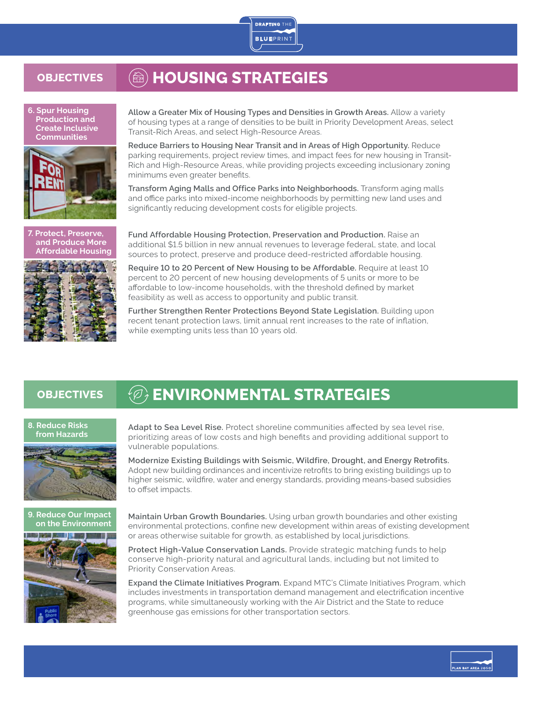

# **OBJECTIVES** (@) HOUSING STRATEGIES

**6. Spur Housing Production and Create Inclusive Communities**



**7. Protect, Preserve, and Produce More Affordable Housing**



**Allow a Greater Mix of Housing Types and Densities in Growth Areas.** Allow a variety of housing types at a range of densities to be built in Priority Development Areas, select Transit-Rich Areas, and select High-Resource Areas.

**Reduce Barriers to Housing Near Transit and in Areas of High Opportunity.** Reduce parking requirements, project review times, and impact fees for new housing in Transit-Rich and High-Resource Areas, while providing projects exceeding inclusionary zoning minimums even greater benefits.

**Transform Aging Malls and Office Parks into Neighborhoods.** Transform aging malls and office parks into mixed-income neighborhoods by permitting new land uses and significantly reducing development costs for eligible projects.

**Fund Affordable Housing Protection, Preservation and Production.** Raise an additional \$1.5 billion in new annual revenues to leverage federal, state, and local sources to protect, preserve and produce deed-restricted affordable housing.

**Require 10 to 20 Percent of New Housing to be Affordable.** Require at least 10 percent to 20 percent of new housing developments of 5 units or more to be affordable to low-income households, with the threshold defined by market feasibility as well as access to opportunity and public transit.

**Further Strengthen Renter Protections Beyond State Legislation.** Building upon recent tenant protection laws, limit annual rent increases to the rate of inflation, while exempting units less than 10 years old.

# **OBJECTIVES**  $\qquad$  $\qquad$  $\qquad$  $\qquad$  $\qquad$  $\qquad$  $\qquad$  $\qquad$  $\qquad$  $\qquad$  $\qquad$  $\qquad$  $\qquad$  $\qquad$  $\qquad$  $\qquad$  $\qquad$  $\qquad$  $\qquad$  $\qquad$  $\qquad$  $\qquad$  $\qquad$  $\qquad$  $\qquad$  $\qquad$  $\qquad$  $\qquad$  $\qquad$  $\qquad$  $\qquad$  $\qquad$  $\qquad$  $\qquad$  $\qquad$

## **8. Reduce Risks**



**from Hazards Adapt to Sea Level Rise.** Protect shoreline communities affected by sea level rise, prioritizing areas of low costs and high benefits and providing additional support to vulnerable populations.

**Modernize Existing Buildings with Seismic, Wildfire, Drought, and Energy Retrofits.**  Adopt new building ordinances and incentivize retrofits to bring existing buildings up to higher seismic, wildfire, water and energy standards, providing means-based subsidies to offset impacts.



**Maintain Urban Growth Boundaries.** Using urban growth boundaries and other existing environmental protections, confine new development within areas of existing development or areas otherwise suitable for growth, as established by local jurisdictions.

**Protect High-Value Conservation Lands.** Provide strategic matching funds to help conserve high-priority natural and agricultural lands, including but not limited to Priority Conservation Areas.

**Expand the Climate Initiatives Program.** Expand MTC's Climate Initiatives Program, which includes investments in transportation demand management and electrification incentive programs, while simultaneously working with the Air District and the State to reduce greenhouse gas emissions for other transportation sectors.